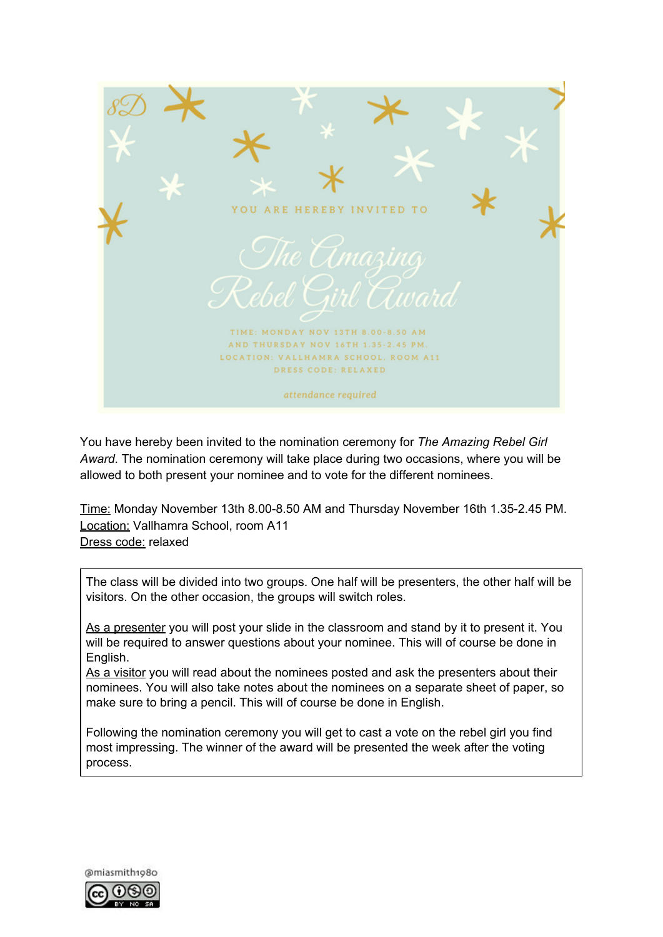

You have hereby been invited to the nomination ceremony for *The Amazing Rebel Girl Award*. The nomination ceremony will take place during two occasions, where you will be allowed to both present your nominee and to vote for the different nominees.

Time: Monday November 13th 8.00-8.50 AM and Thursday November 16th 1.35-2.45 PM. Location: Vallhamra School, room A11 Dress code: relaxed

The class will be divided into two groups. One half will be presenters, the other half will be visitors. On the other occasion, the groups will switch roles.

As a presenter you will post your slide in the classroom and stand by it to present it. You will be required to answer questions about your nominee. This will of course be done in English.

As a visitor you will read about the nominees posted and ask the presenters about their nominees. You will also take notes about the nominees on a separate sheet of paper, so make sure to bring a pencil. This will of course be done in English.

Following the nomination ceremony you will get to cast a vote on the rebel girl you find most impressing. The winner of the award will be presented the week after the voting process.